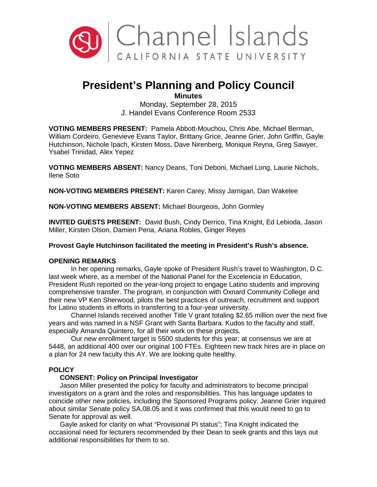

# **President's Planning and Policy Council**

**Minutes** 

Monday, September 28, 2015 J. Handel Evans Conference Room 2533

**VOTING MEMBERS PRESENT:** Pamela Abbott-Mouchou, Chris Abe, Michael Berman, William Cordeiro, Genevieve Evans Taylor, Brittany Grice, Jeanne Grier, John Griffin, Gayle Hutchinson, Nichole Ipach, Kirsten Moss, Dave Nirenberg, Monique Reyna, Greg Sawyer, Ysabel Trinidad, Alex Yepez

**VOTING MEMBERS ABSENT:** Nancy Deans, Toni Deboni, Michael Long, Laurie Nichols, Ilene Soto

**NON-VOTING MEMBERS PRESENT:** Karen Carey, Missy Jarnigan, Dan Wakelee

**NON-VOTING MEMBERS ABSENT:** Michael Bourgeois, John Gormley

**INVITED GUESTS PRESENT:** David Bush, Cindy Derrico, Tina Knight, Ed Lebioda, Jason Miller, Kirsten Olson, Damien Pena, Ariana Robles, Ginger Reyes

**Provost Gayle Hutchinson facilitated the meeting in President's Rush's absence.** 

# **OPENING REMARKS**

In her opening remarks, Gayle spoke of President Rush's travel to Washington, D.C. last week where, as a member of the National Panel for the Excelencia in Education, President Rush reported on the year-long project to engage Latino students and improving comprehensive transfer. The program, in conjunction with Oxnard Community College and their new VP Ken Sherwood, pilots the best practices of outreach, recruitment and support for Latino students in efforts in transferring to a four-year university.

Channel Islands received another Title V grant totaling \$2.65 million over the next five years and was named in a NSF Grant with Santa Barbara. Kudos to the faculty and staff, especially Amanda Quintero, for all their work on these projects.

Our new enrollment target is 5500 students for this year; at consensus we are at 5448, an additional 400 over our original 100 FTEs. Eighteen new track hires are in place on a plan for 24 new faculty this AY. We are looking quite healthy.

# **POLICY**

# **CONSENT: Policy on Principal Investigator**

Jason Miller presented the policy for faculty and administrators to become principal investigators on a grant and the roles and responsibilities. This has language updates to coincide other new policies, including the Sponsored Programs policy. Jeanne Grier inquired about similar Senate policy SA.08.05 and it was confirmed that this would need to go to Senate for approval as well.

Gayle asked for clarity on what "Provisional PI status"; Tina Knight indicated the occasional need for lecturers recommended by their Dean to seek grants and this lays out additional responsibilities for them to so.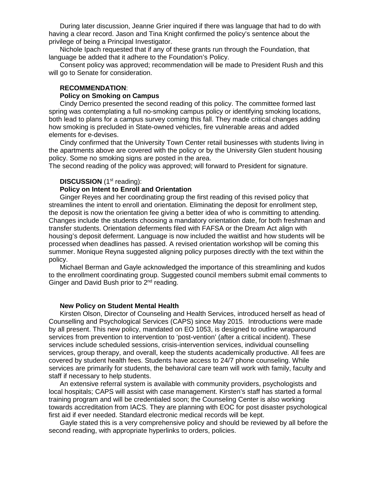During later discussion, Jeanne Grier inquired if there was language that had to do with having a clear record. Jason and Tina Knight confirmed the policy's sentence about the privilege of being a Principal Investigator.

Nichole Ipach requested that if any of these grants run through the Foundation, that language be added that it adhere to the Foundation's Policy.

Consent policy was approved; recommendation will be made to President Rush and this will go to Senate for consideration.

## **RECOMMENDATION**:

#### **Policy on Smoking on Campus**

Cindy Derrico presented the second reading of this policy. The committee formed last spring was contemplating a full no-smoking campus policy or identifying smoking locations, both lead to plans for a campus survey coming this fall. They made critical changes adding how smoking is precluded in State-owned vehicles, fire vulnerable areas and added elements for e-devises.

Cindy confirmed that the University Town Center retail businesses with students living in the apartments above are covered with the policy or by the University Glen student housing policy. Some no smoking signs are posted in the area.

The second reading of the policy was approved; will forward to President for signature.

## **DISCUSSION** (1<sup>st</sup> reading):

# **Policy on Intent to Enroll and Orientation**

Ginger Reyes and her coordinating group the first reading of this revised policy that streamlines the intent to enroll and orientation. Eliminating the deposit for enrollment step, the deposit is now the orientation fee giving a better idea of who is committing to attending. Changes include the students choosing a mandatory orientation date, for both freshman and transfer students. Orientation deferments filed with FAFSA or the Dream Act align with housing's deposit deferment. Language is now included the waitlist and how students will be processed when deadlines has passed. A revised orientation workshop will be coming this summer. Monique Reyna suggested aligning policy purposes directly with the text within the policy.

Michael Berman and Gayle acknowledged the importance of this streamlining and kudos to the enrollment coordinating group. Suggested council members submit email comments to Ginger and David Bush prior to 2<sup>nd</sup> reading.

## **New Policy on Student Mental Health**

Kirsten Olson, Director of Counseling and Health Services, introduced herself as head of Counselling and Psychological Services (CAPS) since May 2015. Introductions were made by all present. This new policy, mandated on EO 1053, is designed to outline wraparound services from prevention to intervention to 'post-vention' (after a critical incident). These services include scheduled sessions, crisis-intervention services, individual counselling services, group therapy, and overall, keep the students academically productive. All fees are covered by student health fees. Students have access to 24/7 phone counseling. While services are primarily for students, the behavioral care team will work with family, faculty and staff if necessary to help students.

An extensive referral system is available with community providers, psychologists and local hospitals; CAPS will assist with case management. Kirsten's staff has started a formal training program and will be credentialed soon; the Counseling Center is also working towards accreditation from IACS. They are planning with EOC for post disaster psychological first aid if ever needed. Standard electronic medical records will be kept.

Gayle stated this is a very comprehensive policy and should be reviewed by all before the second reading, with appropriate hyperlinks to orders, policies.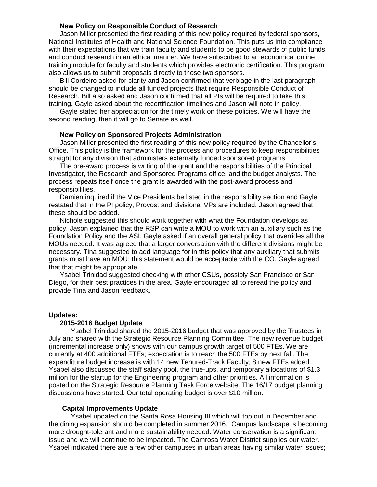### **New Policy on Responsible Conduct of Research**

Jason Miller presented the first reading of this new policy required by federal sponsors, National Institutes of Health and National Science Foundation. This puts us into compliance with their expectations that we train faculty and students to be good stewards of public funds and conduct research in an ethical manner. We have subscribed to an economical online training module for faculty and students which provides electronic certification. This program also allows us to submit proposals directly to those two sponsors.

Bill Cordeiro asked for clarity and Jason confirmed that verbiage in the last paragraph should be changed to include all funded projects that require Responsible Conduct of Research. Bill also asked and Jason confirmed that all PIs will be required to take this training. Gayle asked about the recertification timelines and Jason will note in policy.

Gayle stated her appreciation for the timely work on these policies. We will have the second reading, then it will go to Senate as well.

## **New Policy on Sponsored Projects Administration**

Jason Miller presented the first reading of this new policy required by the Chancellor's Office. This policy is the framework for the process and procedures to keep responsibilities straight for any division that administers externally funded sponsored programs.

The pre-award process is writing of the grant and the responsibilities of the Principal Investigator, the Research and Sponsored Programs office, and the budget analysts. The process repeats itself once the grant is awarded with the post-award process and responsibilities.

Damien inquired if the Vice Presidents be listed in the responsibility section and Gayle restated that in the PI policy, Provost and divisional VPs are included. Jason agreed that these should be added.

Nichole suggested this should work together with what the Foundation develops as policy. Jason explained that the RSP can write a MOU to work with an auxiliary such as the Foundation Policy and the ASI. Gayle asked if an overall general policy that overrides all the MOUs needed. It was agreed that a larger conversation with the different divisions might be necessary. Tina suggested to add language for in this policy that any auxiliary that submits grants must have an MOU; this statement would be acceptable with the CO. Gayle agreed that that might be appropriate.

Ysabel Trinidad suggested checking with other CSUs, possibly San Francisco or San Diego, for their best practices in the area. Gayle encouraged all to reread the policy and provide Tina and Jason feedback.

#### **Updates:**

#### **2015-2016 Budget Update**

Ysabel Trinidad shared the 2015-2016 budget that was approved by the Trustees in July and shared with the Strategic Resource Planning Committee. The new revenue budget (incremental increase only) shows with our campus growth target of 500 FTEs. We are currently at 400 additional FTEs; expectation is to reach the 500 FTEs by next fall. The expenditure budget increase is with 14 new Tenured-Track Faculty; 8 new FTEs added. Ysabel also discussed the staff salary pool, the true-ups, and temporary allocations of \$1.3 million for the startup for the Engineering program and other priorities. All information is posted on the Strategic Resource Planning Task Force website. The 16/17 budget planning discussions have started. Our total operating budget is over \$10 million.

#### **Capital Improvements Update**

Ysabel updated on the Santa Rosa Housing III which will top out in December and the dining expansion should be completed in summer 2016. Campus landscape is becoming more drought-tolerant and more sustainability needed. Water conservation is a significant issue and we will continue to be impacted. The Camrosa Water District supplies our water. Ysabel indicated there are a few other campuses in urban areas having similar water issues;